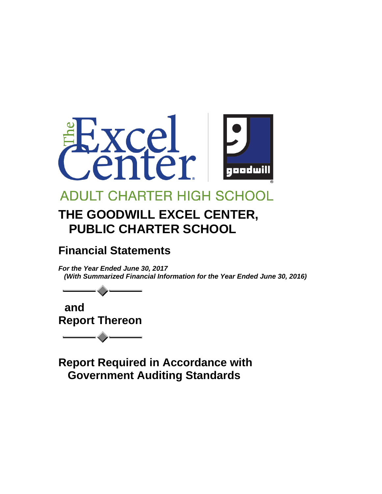

# **ADULT CHARTER HIGH SCHOO**

# **THE GOODWILL EXCEL CENTER, PUBLIC CHARTER SCHOOL**

## **Financial Statements**

*For the Year Ended June 30, 2017 (With Summarized Financial Information for the Year Ended June 30, 2016)*

 **and Report Thereon**

**Report Required in Accordance with Government Auditing Standards**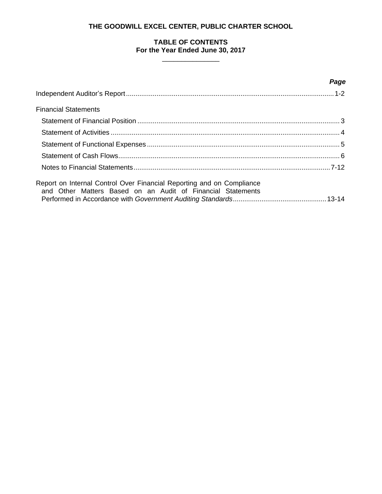### **TABLE OF CONTENTS For the Year Ended June 30, 2017**

 $\frac{1}{2}$  ,  $\frac{1}{2}$  ,  $\frac{1}{2}$  ,  $\frac{1}{2}$  ,  $\frac{1}{2}$  ,  $\frac{1}{2}$  ,  $\frac{1}{2}$  ,  $\frac{1}{2}$  ,  $\frac{1}{2}$  ,  $\frac{1}{2}$  ,  $\frac{1}{2}$  ,  $\frac{1}{2}$  ,  $\frac{1}{2}$  ,  $\frac{1}{2}$  ,  $\frac{1}{2}$  ,  $\frac{1}{2}$  ,  $\frac{1}{2}$  ,  $\frac{1}{2}$  ,  $\frac{1$ 

|                                                                                                                                      | Page |
|--------------------------------------------------------------------------------------------------------------------------------------|------|
|                                                                                                                                      |      |
| <b>Financial Statements</b>                                                                                                          |      |
|                                                                                                                                      |      |
|                                                                                                                                      |      |
|                                                                                                                                      |      |
|                                                                                                                                      |      |
|                                                                                                                                      |      |
| Report on Internal Control Over Financial Reporting and on Compliance<br>and Other Matters Based on an Audit of Financial Statements |      |
|                                                                                                                                      |      |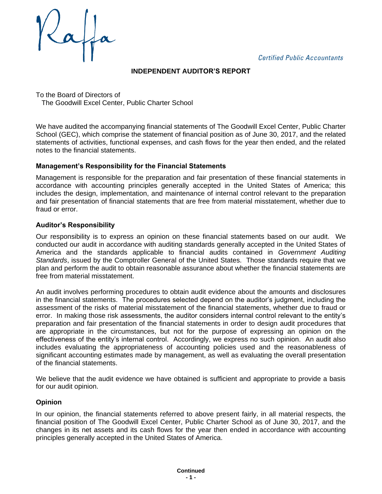**Certified Public Accountants** 

### **INDEPENDENT AUDITOR'S REPORT**

To the Board of Directors of The Goodwill Excel Center, Public Charter School

We have audited the accompanying financial statements of The Goodwill Excel Center, Public Charter School (GEC), which comprise the statement of financial position as of June 30, 2017, and the related statements of activities, functional expenses, and cash flows for the year then ended, and the related notes to the financial statements.

#### **Management's Responsibility for the Financial Statements**

Management is responsible for the preparation and fair presentation of these financial statements in accordance with accounting principles generally accepted in the United States of America; this includes the design, implementation, and maintenance of internal control relevant to the preparation and fair presentation of financial statements that are free from material misstatement, whether due to fraud or error.

#### **Auditor's Responsibility**

Our responsibility is to express an opinion on these financial statements based on our audit. We conducted our audit in accordance with auditing standards generally accepted in the United States of America and the standards applicable to financial audits contained in *Government Auditing Standards*, issued by the Comptroller General of the United States. Those standards require that we plan and perform the audit to obtain reasonable assurance about whether the financial statements are free from material misstatement.

An audit involves performing procedures to obtain audit evidence about the amounts and disclosures in the financial statements. The procedures selected depend on the auditor's judgment, including the assessment of the risks of material misstatement of the financial statements, whether due to fraud or error. In making those risk assessments, the auditor considers internal control relevant to the entity's preparation and fair presentation of the financial statements in order to design audit procedures that are appropriate in the circumstances, but not for the purpose of expressing an opinion on the effectiveness of the entity's internal control. Accordingly, we express no such opinion. An audit also includes evaluating the appropriateness of accounting policies used and the reasonableness of significant accounting estimates made by management, as well as evaluating the overall presentation of the financial statements.

We believe that the audit evidence we have obtained is sufficient and appropriate to provide a basis for our audit opinion.

#### **Opinion**

In our opinion, the financial statements referred to above present fairly, in all material respects, the financial position of The Goodwill Excel Center, Public Charter School as of June 30, 2017, and the changes in its net assets and its cash flows for the year then ended in accordance with accounting principles generally accepted in the United States of America.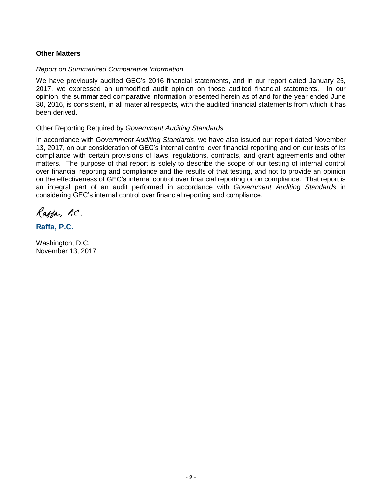#### **Other Matters**

#### *Report on Summarized Comparative Information*

We have previously audited GEC's 2016 financial statements, and in our report dated January 25, 2017, we expressed an unmodified audit opinion on those audited financial statements. In our opinion, the summarized comparative information presented herein as of and for the year ended June 30, 2016, is consistent, in all material respects, with the audited financial statements from which it has been derived.

#### Other Reporting Required by *Government Auditing Standards*

In accordance with *Government Auditing Standards*, we have also issued our report dated November 13, 2017, on our consideration of GEC's internal control over financial reporting and on our tests of its compliance with certain provisions of laws, regulations, contracts, and grant agreements and other matters. The purpose of that report is solely to describe the scope of our testing of internal control over financial reporting and compliance and the results of that testing, and not to provide an opinion on the effectiveness of GEC's internal control over financial reporting or on compliance. That report is an integral part of an audit performed in accordance with *Government Auditing Standards* in considering GEC's internal control over financial reporting and compliance.

Ratha, P.C.

## **Raffa, P.C.**

Washington, D.C. November 13, 2017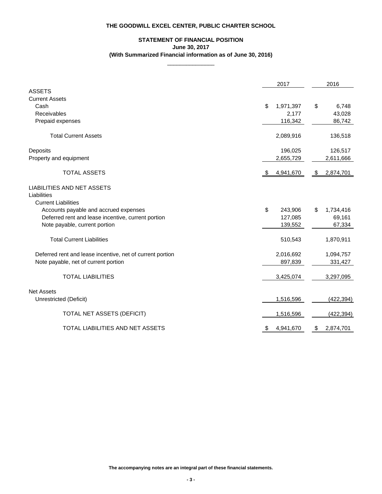## **STATEMENT OF FINANCIAL POSITION June 30, 2017 (With Summarized Financial information as of June 30, 2016)**

 $\overline{\phantom{a}}$  , where  $\overline{\phantom{a}}$ 

|                                                           | 2017            | 2016            |
|-----------------------------------------------------------|-----------------|-----------------|
| <b>ASSETS</b>                                             |                 |                 |
| <b>Current Assets</b>                                     |                 |                 |
| Cash                                                      | \$<br>1,971,397 | \$<br>6,748     |
| Receivables                                               | 2,177           | 43,028          |
| Prepaid expenses                                          | 116,342         | 86,742          |
| <b>Total Current Assets</b>                               | 2,089,916       | 136,518         |
| Deposits                                                  | 196,025         | 126,517         |
| Property and equipment                                    | 2,655,729       | 2,611,666       |
| <b>TOTAL ASSETS</b>                                       | \$<br>4,941,670 | \$<br>2,874,701 |
| <b>LIABILITIES AND NET ASSETS</b>                         |                 |                 |
| Liabilities                                               |                 |                 |
| <b>Current Liabilities</b>                                |                 |                 |
| Accounts payable and accrued expenses                     | \$<br>243,906   | \$<br>1,734,416 |
| Deferred rent and lease incentive, current portion        | 127,085         | 69,161          |
| Note payable, current portion                             | 139,552         | 67,334          |
| <b>Total Current Liabilities</b>                          | 510,543         | 1,870,911       |
| Deferred rent and lease incentive, net of current portion | 2,016,692       | 1,094,757       |
| Note payable, net of current portion                      | 897,839         | 331,427         |
| <b>TOTAL LIABILITIES</b>                                  | 3,425,074       | 3,297,095       |
| <b>Net Assets</b>                                         |                 |                 |
| Unrestricted (Deficit)                                    | 1,516,596       | (422, 394)      |
| <b>TOTAL NET ASSETS (DEFICIT)</b>                         | 1,516,596       | (422, 394)      |
| TOTAL LIABILITIES AND NET ASSETS                          | \$<br>4,941,670 | \$<br>2,874,701 |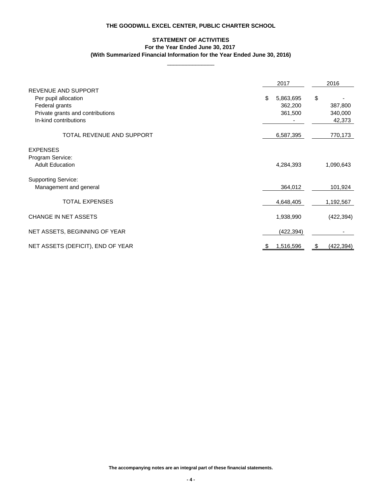## **STATEMENT OF ACTIVITIES For the Year Ended June 30, 2017 (With Summarized Financial Information for the Year Ended June 30, 2016)**

 $\overline{\phantom{a}}$  , where  $\overline{\phantom{a}}$ 

|                                   | 2017            | 2016             |
|-----------------------------------|-----------------|------------------|
| <b>REVENUE AND SUPPORT</b>        |                 |                  |
| Per pupil allocation              | \$<br>5,863,695 | \$               |
| Federal grants                    | 362,200         | 387,800          |
| Private grants and contributions  | 361,500         | 340,000          |
| In-kind contributions             |                 | 42,373           |
| <b>TOTAL REVENUE AND SUPPORT</b>  | 6,587,395       | 770,173          |
| <b>EXPENSES</b>                   |                 |                  |
| Program Service:                  |                 |                  |
| <b>Adult Education</b>            | 4,284,393       | 1,090,643        |
| <b>Supporting Service:</b>        |                 |                  |
| Management and general            | 364,012         | 101,924          |
| <b>TOTAL EXPENSES</b>             | 4,648,405       | 1,192,567        |
| <b>CHANGE IN NET ASSETS</b>       | 1,938,990       | (422, 394)       |
| NET ASSETS, BEGINNING OF YEAR     | (422, 394)      |                  |
| NET ASSETS (DEFICIT), END OF YEAR | 1,516,596<br>P. | (422, 394)<br>\$ |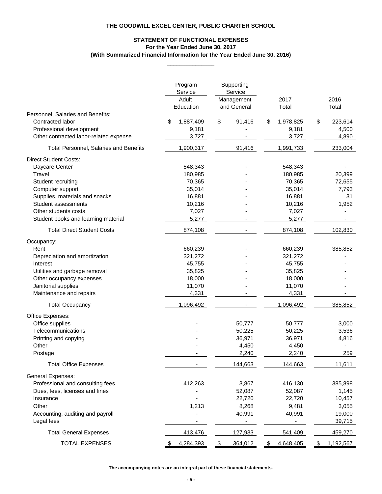## **For the Year Ended June 30, 2017 STATEMENT OF FUNCTIONAL EXPENSES (With Summarized Financial Information for the Year Ended June 30, 2016)**

 $\overline{\phantom{a}}$  , where  $\overline{\phantom{a}}$ 

|                                                                                                                             | Program<br>Service<br>Adult<br>Education | Supporting<br>Service<br>Management<br>and General | 2017<br>Total                     | 2016<br>Total                   |
|-----------------------------------------------------------------------------------------------------------------------------|------------------------------------------|----------------------------------------------------|-----------------------------------|---------------------------------|
| Personnel, Salaries and Benefits:<br>Contracted labor<br>Professional development<br>Other contracted labor-related expense | 1,887,409<br>\$<br>9,181<br>3,727        | \$<br>91,416                                       | 1,978,825<br>\$<br>9,181<br>3,727 | 223,614<br>\$<br>4,500<br>4,890 |
| <b>Total Personnel, Salaries and Benefits</b>                                                                               | 1,900,317                                | 91,416                                             | 1,991,733                         | 233,004                         |
| <b>Direct Student Costs:</b>                                                                                                |                                          |                                                    |                                   |                                 |
| Daycare Center                                                                                                              | 548,343                                  |                                                    | 548,343                           |                                 |
| Travel                                                                                                                      | 180,985                                  |                                                    | 180,985                           | 20,399                          |
| Student recruiting                                                                                                          | 70,365                                   |                                                    | 70,365                            | 72,655                          |
| Computer support                                                                                                            | 35,014                                   |                                                    | 35,014                            | 7,793                           |
| Supplies, materials and snacks                                                                                              | 16,881                                   |                                                    | 16,881                            | 31                              |
| <b>Student assessments</b>                                                                                                  | 10,216                                   |                                                    | 10,216                            | 1,952                           |
| Other students costs                                                                                                        | 7,027                                    |                                                    | 7,027                             |                                 |
| Student books and learning material                                                                                         | 5,277                                    |                                                    | 5,277                             |                                 |
| <b>Total Direct Student Costs</b>                                                                                           | 874,108                                  |                                                    | 874,108                           | 102,830                         |
| Occupancy:                                                                                                                  |                                          |                                                    |                                   |                                 |
| Rent                                                                                                                        | 660,239                                  |                                                    | 660,239                           | 385,852                         |
| Depreciation and amortization                                                                                               | 321,272                                  |                                                    | 321,272                           |                                 |
| Interest                                                                                                                    | 45,755                                   |                                                    | 45,755                            |                                 |
| Utilities and garbage removal                                                                                               | 35,825                                   |                                                    | 35,825                            |                                 |
| Other occupancy expenses                                                                                                    | 18,000                                   |                                                    | 18,000                            |                                 |
| Janitorial supplies                                                                                                         | 11,070                                   |                                                    | 11,070                            |                                 |
| Maintenance and repairs                                                                                                     | 4,331                                    |                                                    | 4,331                             |                                 |
| <b>Total Occupancy</b>                                                                                                      | 1,096,492                                |                                                    | 1,096,492                         | 385,852                         |
| Office Expenses:                                                                                                            |                                          |                                                    |                                   |                                 |
| Office supplies                                                                                                             |                                          | 50,777                                             | 50,777                            | 3,000                           |
| Telecommunications                                                                                                          |                                          | 50,225                                             | 50,225                            | 3,536                           |
| Printing and copying                                                                                                        |                                          | 36,971                                             | 36,971                            | 4,816                           |
| Other                                                                                                                       |                                          | 4,450                                              | 4,450                             |                                 |
| Postage                                                                                                                     |                                          | 2,240                                              | 2,240                             | 259                             |
| <b>Total Office Expenses</b>                                                                                                |                                          | 144,663                                            | 144,663                           | 11,611                          |
| <b>General Expenses:</b>                                                                                                    |                                          |                                                    |                                   |                                 |
| Professional and consulting fees                                                                                            | 412,263                                  | 3,867                                              | 416,130                           | 385,898                         |
| Dues, fees, licenses and fines                                                                                              |                                          | 52,087                                             | 52,087                            | 1,145                           |
| Insurance                                                                                                                   |                                          | 22,720                                             | 22,720                            | 10,457                          |
| Other                                                                                                                       | 1,213                                    | 8,268                                              | 9,481                             | 3,055                           |
| Accounting, auditing and payroll                                                                                            |                                          | 40,991                                             | 40,991                            | 19,000                          |
| Legal fees                                                                                                                  |                                          |                                                    |                                   | 39,715                          |
| <b>Total General Expenses</b>                                                                                               | 413,476                                  | 127,933                                            | 541,409                           | 459,270                         |
| <b>TOTAL EXPENSES</b>                                                                                                       | 4,284,393                                | $\$\$<br>364,012                                   | 4,648,405<br>\$                   | \$<br>1,192,567                 |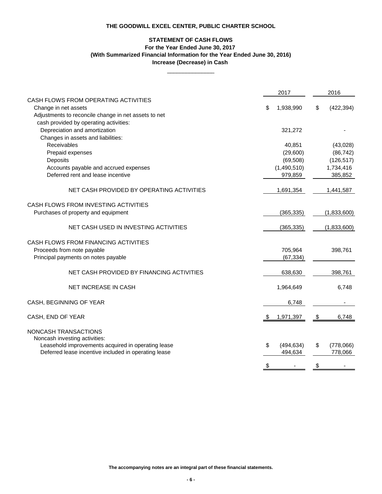#### **STATEMENT OF CASH FLOWS For the Year Ended June 30, 2017 Increase (Decrease) in Cash (With Summarized Financial Information for the Year Ended June 30, 2016)**

\_\_\_\_\_\_\_\_\_\_\_\_\_\_\_

|                                                                                                                      | 2017                 | 2016             |
|----------------------------------------------------------------------------------------------------------------------|----------------------|------------------|
| CASH FLOWS FROM OPERATING ACTIVITIES<br>Change in net assets<br>Adjustments to reconcile change in net assets to net | \$<br>1,938,990      | \$<br>(422, 394) |
| cash provided by operating activities:<br>Depreciation and amortization<br>Changes in assets and liabilities:        | 321,272              |                  |
| Receivables                                                                                                          | 40,851               | (43,028)         |
| Prepaid expenses                                                                                                     | (29,600)             | (86, 742)        |
| Deposits                                                                                                             | (69, 508)            | (126, 517)       |
| Accounts payable and accrued expenses                                                                                | (1,490,510)          | 1,734,416        |
| Deferred rent and lease incentive                                                                                    | 979,859              | 385,852          |
| NET CASH PROVIDED BY OPERATING ACTIVITIES                                                                            | 1,691,354            | 1,441,587        |
| CASH FLOWS FROM INVESTING ACTIVITIES<br>Purchases of property and equipment                                          | (365, 335)           | (1,833,600)      |
| NET CASH USED IN INVESTING ACTIVITIES                                                                                | (365, 335)           | (1,833,600)      |
| CASH FLOWS FROM FINANCING ACTIVITIES<br>Proceeds from note payable<br>Principal payments on notes payable            | 705,964<br>(67, 334) | 398,761          |
| NET CASH PROVIDED BY FINANCING ACTIVITIES                                                                            | 638,630              | 398,761          |
| <b>NET INCREASE IN CASH</b>                                                                                          | 1,964,649            | 6,748            |
| CASH, BEGINNING OF YEAR                                                                                              | 6,748                |                  |
| CASH, END OF YEAR                                                                                                    | 1,971,397            | \$<br>6,748      |
| NONCASH TRANSACTIONS<br>Noncash investing activities:<br>Leasehold improvements acquired in operating lease          | \$<br>(494, 634)     | \$<br>(778,066)  |
| Deferred lease incentive included in operating lease                                                                 | 494,634              | 778,066          |
|                                                                                                                      | \$                   | \$               |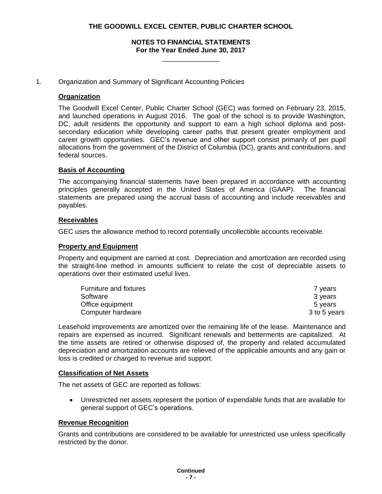#### **NOTES TO FINANCIAL STATEMENTS For the Year Ended June 30, 2017**

\_\_\_\_\_\_\_\_\_\_\_\_\_\_\_

#### 1. Organization and Summary of Significant Accounting Policies

#### **Organization**

The Goodwill Excel Center, Public Charter School (GEC) was formed on February 23, 2015, and launched operations in August 2016. The goal of the school is to provide Washington, DC, adult residents the opportunity and support to earn a high school diploma and postsecondary education while developing career paths that present greater employment and career growth opportunities. GEC's revenue and other support consist primarily of per pupil allocations from the government of the District of Columbia (DC), grants and contributions, and federal sources.

#### **Basis of Accounting**

The accompanying financial statements have been prepared in accordance with accounting principles generally accepted in the United States of America (GAAP). The financial statements are prepared using the accrual basis of accounting and include receivables and payables.

#### **Receivables**

GEC uses the allowance method to record potentially uncollectible accounts receivable.

#### **Property and Equipment**

Property and equipment are carried at cost. Depreciation and amortization are recorded using the straight-line method in amounts sufficient to relate the cost of depreciable assets to operations over their estimated useful lives.

| Furniture and fixtures | 7 years      |
|------------------------|--------------|
| Software               | 3 years      |
| Office equipment       | 5 vears      |
| Computer hardware      | 3 to 5 years |

Leasehold improvements are amortized over the remaining life of the lease. Maintenance and repairs are expensed as incurred. Significant renewals and betterments are capitalized. At the time assets are retired or otherwise disposed of, the property and related accumulated depreciation and amortization accounts are relieved of the applicable amounts and any gain or loss is credited or charged to revenue and support.

#### **Classification of Net Assets**

The net assets of GEC are reported as follows:

 Unrestricted net assets represent the portion of expendable funds that are available for general support of GEC's operations.

#### **Revenue Recognition**

Grants and contributions are considered to be available for unrestricted use unless specifically restricted by the donor.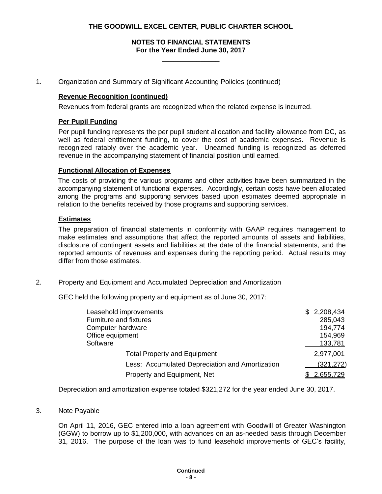#### **NOTES TO FINANCIAL STATEMENTS For the Year Ended June 30, 2017**

\_\_\_\_\_\_\_\_\_\_\_\_\_\_\_

1. Organization and Summary of Significant Accounting Policies (continued)

#### **Revenue Recognition (continued)**

Revenues from federal grants are recognized when the related expense is incurred.

#### **Per Pupil Funding**

Per pupil funding represents the per pupil student allocation and facility allowance from DC, as well as federal entitlement funding, to cover the cost of academic expenses. Revenue is recognized ratably over the academic year. Unearned funding is recognized as deferred revenue in the accompanying statement of financial position until earned.

#### **Functional Allocation of Expenses**

The costs of providing the various programs and other activities have been summarized in the accompanying statement of functional expenses. Accordingly, certain costs have been allocated among the programs and supporting services based upon estimates deemed appropriate in relation to the benefits received by those programs and supporting services.

#### **Estimates**

The preparation of financial statements in conformity with GAAP requires management to make estimates and assumptions that affect the reported amounts of assets and liabilities, disclosure of contingent assets and liabilities at the date of the financial statements, and the reported amounts of revenues and expenses during the reporting period. Actual results may differ from those estimates.

2. Property and Equipment and Accumulated Depreciation and Amortization

GEC held the following property and equipment as of June 30, 2017:

| Leasehold improvements                          | 2,208,434<br>SS. |
|-------------------------------------------------|------------------|
| <b>Furniture and fixtures</b>                   | 285,043          |
| Computer hardware                               | 194,774          |
| Office equipment                                | 154,969          |
| Software                                        | 133,781          |
| <b>Total Property and Equipment</b>             | 2,977,001        |
| Less: Accumulated Depreciation and Amortization | (321, 272)       |
| Property and Equipment, Net                     | 2,655,729        |

Depreciation and amortization expense totaled \$321,272 for the year ended June 30, 2017.

3. Note Payable

On April 11, 2016, GEC entered into a loan agreement with Goodwill of Greater Washington (GGW) to borrow up to \$1,200,000, with advances on an as-needed basis through December 31, 2016. The purpose of the loan was to fund leasehold improvements of GEC's facility,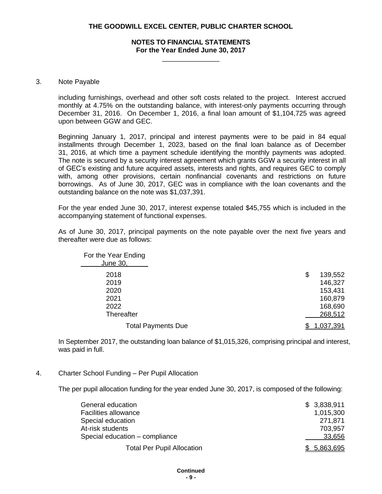#### **NOTES TO FINANCIAL STATEMENTS For the Year Ended June 30, 2017**

\_\_\_\_\_\_\_\_\_\_\_\_\_\_\_

#### 3. Note Payable

including furnishings, overhead and other soft costs related to the project. Interest accrued monthly at 4.75% on the outstanding balance, with interest-only payments occurring through December 31, 2016. On December 1, 2016, a final loan amount of \$1,104,725 was agreed upon between GGW and GEC.

Beginning January 1, 2017, principal and interest payments were to be paid in 84 equal installments through December 1, 2023, based on the final loan balance as of December 31, 2016, at which time a payment schedule identifying the monthly payments was adopted. The note is secured by a security interest agreement which grants GGW a security interest in all of GEC's existing and future acquired assets, interests and rights, and requires GEC to comply with, among other provisions, certain nonfinancial covenants and restrictions on future borrowings. As of June 30, 2017, GEC was in compliance with the loan covenants and the outstanding balance on the note was \$1,037,391.

For the year ended June 30, 2017, interest expense totaled \$45,755 which is included in the accompanying statement of functional expenses.

As of June 30, 2017, principal payments on the note payable over the next five years and thereafter were due as follows:

| For the Year Ending<br>June 30, |               |
|---------------------------------|---------------|
| 2018                            | 139,552<br>\$ |
| 2019                            | 146,327       |
| 2020                            | 153,431       |
| 2021                            | 160,879       |
| 2022                            | 168,690       |
| Thereafter                      | 268,512       |
| <b>Total Payments Due</b>       | 1,037,391     |

In September 2017, the outstanding loan balance of \$1,015,326, comprising principal and interest, was paid in full.

#### 4. Charter School Funding – Per Pupil Allocation

The per pupil allocation funding for the year ended June 30, 2017, is composed of the following:

| General education                 | \$3,838,911  |
|-----------------------------------|--------------|
| Facilities allowance              | 1,015,300    |
| Special education                 | 271.871      |
| At-risk students                  | 703,957      |
| Special education - compliance    | 33,656       |
| <b>Total Per Pupil Allocation</b> | \$ 5,863,695 |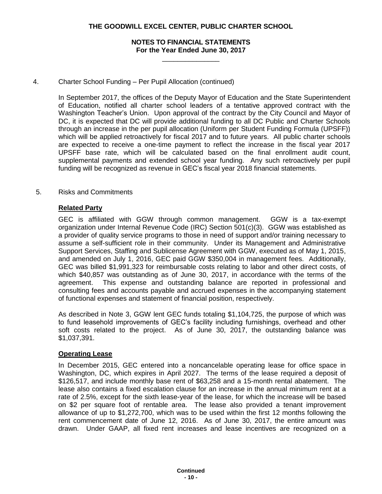#### **NOTES TO FINANCIAL STATEMENTS For the Year Ended June 30, 2017**

\_\_\_\_\_\_\_\_\_\_\_\_\_\_\_

#### 4. Charter School Funding – Per Pupil Allocation (continued)

In September 2017, the offices of the Deputy Mayor of Education and the State Superintendent of Education, notified all charter school leaders of a tentative approved contract with the Washington Teacher's Union. Upon approval of the contract by the City Council and Mayor of DC, it is expected that DC will provide additional funding to all DC Public and Charter Schools through an increase in the per pupil allocation (Uniform per Student Funding Formula (UPSFF)) which will be applied retroactively for fiscal 2017 and to future years. All public charter schools are expected to receive a one-time payment to reflect the increase in the fiscal year 2017 UPSFF base rate, which will be calculated based on the final enrollment audit count, supplemental payments and extended school year funding. Any such retroactively per pupil funding will be recognized as revenue in GEC's fiscal year 2018 financial statements.

#### 5. Risks and Commitments

#### **Related Party**

GEC is affiliated with GGW through common management. GGW is a tax-exempt organization under Internal Revenue Code (IRC) Section 501(c)(3). GGW was established as a provider of quality service programs to those in need of support and/or training necessary to assume a self-sufficient role in their community. Under its Management and Administrative Support Services, Staffing and Sublicense Agreement with GGW, executed as of May 1, 2015, and amended on July 1, 2016, GEC paid GGW \$350,004 in management fees. Additionally, GEC was billed \$1,991,323 for reimbursable costs relating to labor and other direct costs, of which \$40,857 was outstanding as of June 30, 2017, in accordance with the terms of the agreement. This expense and outstanding balance are reported in professional and consulting fees and accounts payable and accrued expenses in the accompanying statement of functional expenses and statement of financial position, respectively.

As described in Note 3, GGW lent GEC funds totaling \$1,104,725, the purpose of which was to fund leasehold improvements of GEC's facility including furnishings, overhead and other soft costs related to the project. As of June 30, 2017, the outstanding balance was \$1,037,391.

#### **Operating Lease**

In December 2015, GEC entered into a noncancelable operating lease for office space in Washington, DC, which expires in April 2027. The terms of the lease required a deposit of \$126,517, and include monthly base rent of \$63,258 and a 15-month rental abatement. The lease also contains a fixed escalation clause for an increase in the annual minimum rent at a rate of 2.5%, except for the sixth lease-year of the lease, for which the increase will be based on \$2 per square foot of rentable area. The lease also provided a tenant improvement allowance of up to \$1,272,700, which was to be used within the first 12 months following the rent commencement date of June 12, 2016. As of June 30, 2017, the entire amount was drawn. Under GAAP, all fixed rent increases and lease incentives are recognized on a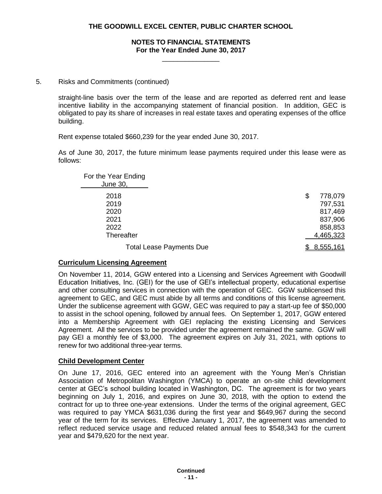#### **NOTES TO FINANCIAL STATEMENTS For the Year Ended June 30, 2017**

\_\_\_\_\_\_\_\_\_\_\_\_\_\_\_

#### 5. Risks and Commitments (continued)

straight-line basis over the term of the lease and are reported as deferred rent and lease incentive liability in the accompanying statement of financial position. In addition, GEC is obligated to pay its share of increases in real estate taxes and operating expenses of the office building.

Rent expense totaled \$660,239 for the year ended June 30, 2017.

As of June 30, 2017, the future minimum lease payments required under this lease were as follows:

| For the Year Ending<br>June 30, |               |
|---------------------------------|---------------|
| 2018                            | 778,079<br>\$ |
| 2019                            | 797,531       |
| 2020                            | 817,469       |
| 2021                            | 837,906       |
| 2022                            | 858,853       |
| Thereafter                      | 4,465,323     |
| <b>Total Lease Payments Due</b> | 8,555,161     |

#### **Curriculum Licensing Agreement**

On November 11, 2014, GGW entered into a Licensing and Services Agreement with Goodwill Education Initiatives, Inc. (GEI) for the use of GEI's intellectual property, educational expertise and other consulting services in connection with the operation of GEC. GGW sublicensed this agreement to GEC, and GEC must abide by all terms and conditions of this license agreement. Under the sublicense agreement with GGW, GEC was required to pay a start-up fee of \$50,000 to assist in the school opening, followed by annual fees. On September 1, 2017, GGW entered into a Membership Agreement with GEI replacing the existing Licensing and Services Agreement. All the services to be provided under the agreement remained the same. GGW will pay GEI a monthly fee of \$3,000. The agreement expires on July 31, 2021, with options to renew for two additional three-year terms.

#### **Child Development Center**

On June 17, 2016, GEC entered into an agreement with the Young Men's Christian Association of Metropolitan Washington (YMCA) to operate an on-site child development center at GEC's school building located in Washington, DC. The agreement is for two years beginning on July 1, 2016, and expires on June 30, 2018, with the option to extend the contract for up to three one-year extensions. Under the terms of the original agreement, GEC was required to pay YMCA \$631,036 during the first year and \$649,967 during the second year of the term for its services. Effective January 1, 2017, the agreement was amended to reflect reduced service usage and reduced related annual fees to \$548,343 for the current year and \$479,620 for the next year.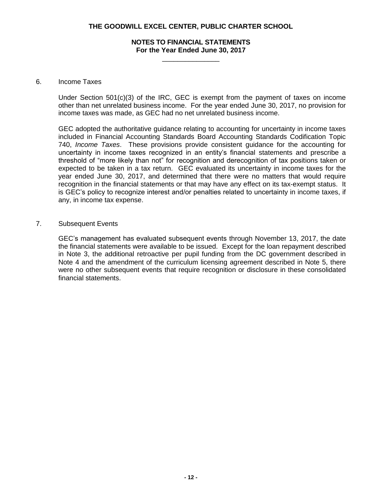#### **NOTES TO FINANCIAL STATEMENTS For the Year Ended June 30, 2017**

\_\_\_\_\_\_\_\_\_\_\_\_\_\_\_

#### 6. Income Taxes

Under Section 501(c)(3) of the IRC, GEC is exempt from the payment of taxes on income other than net unrelated business income. For the year ended June 30, 2017, no provision for income taxes was made, as GEC had no net unrelated business income.

GEC adopted the authoritative guidance relating to accounting for uncertainty in income taxes included in Financial Accounting Standards Board Accounting Standards Codification Topic 740, *Income Taxes*. These provisions provide consistent guidance for the accounting for uncertainty in income taxes recognized in an entity's financial statements and prescribe a threshold of "more likely than not" for recognition and derecognition of tax positions taken or expected to be taken in a tax return. GEC evaluated its uncertainty in income taxes for the year ended June 30, 2017, and determined that there were no matters that would require recognition in the financial statements or that may have any effect on its tax-exempt status. It is GEC's policy to recognize interest and/or penalties related to uncertainty in income taxes, if any, in income tax expense.

#### 7. Subsequent Events

GEC's management has evaluated subsequent events through November 13, 2017, the date the financial statements were available to be issued. Except for the loan repayment described in Note 3, the additional retroactive per pupil funding from the DC government described in Note 4 and the amendment of the curriculum licensing agreement described in Note 5, there were no other subsequent events that require recognition or disclosure in these consolidated financial statements.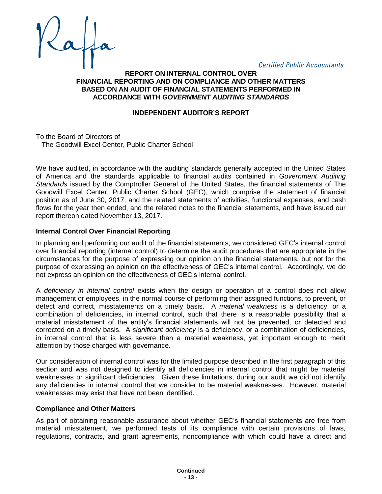**Certified Public Accountants** 

#### **REPORT ON INTERNAL CONTROL OVER FINANCIAL REPORTING AND ON COMPLIANCE AND OTHER MATTERS BASED ON AN AUDIT OF FINANCIAL STATEMENTS PERFORMED IN ACCORDANCE WITH** *GOVERNMENT AUDITING STANDARDS*

#### **INDEPENDENT AUDITOR'S REPORT**

To the Board of Directors of The Goodwill Excel Center, Public Charter School

We have audited, in accordance with the auditing standards generally accepted in the United States of America and the standards applicable to financial audits contained in *Government Auditing Standards* issued by the Comptroller General of the United States, the financial statements of The Goodwill Excel Center, Public Charter School (GEC), which comprise the statement of financial position as of June 30, 2017, and the related statements of activities, functional expenses, and cash flows for the year then ended, and the related notes to the financial statements, and have issued our report thereon dated November 13, 2017.

#### **Internal Control Over Financial Reporting**

In planning and performing our audit of the financial statements, we considered GEC's internal control over financial reporting (internal control) to determine the audit procedures that are appropriate in the circumstances for the purpose of expressing our opinion on the financial statements, but not for the purpose of expressing an opinion on the effectiveness of GEC's internal control. Accordingly, we do not express an opinion on the effectiveness of GEC's internal control.

A *deficiency in internal control* exists when the design or operation of a control does not allow management or employees, in the normal course of performing their assigned functions, to prevent, or detect and correct, misstatements on a timely basis. A *material weakness* is a deficiency, or a combination of deficiencies, in internal control, such that there is a reasonable possibility that a material misstatement of the entity's financial statements will not be prevented, or detected and corrected on a timely basis. A *significant deficiency* is a deficiency, or a combination of deficiencies, in internal control that is less severe than a material weakness, yet important enough to merit attention by those charged with governance.

Our consideration of internal control was for the limited purpose described in the first paragraph of this section and was not designed to identify all deficiencies in internal control that might be material weaknesses or significant deficiencies. Given these limitations, during our audit we did not identify any deficiencies in internal control that we consider to be material weaknesses. However, material weaknesses may exist that have not been identified.

#### **Compliance and Other Matters**

As part of obtaining reasonable assurance about whether GEC's financial statements are free from material misstatement, we performed tests of its compliance with certain provisions of laws, regulations, contracts, and grant agreements, noncompliance with which could have a direct and